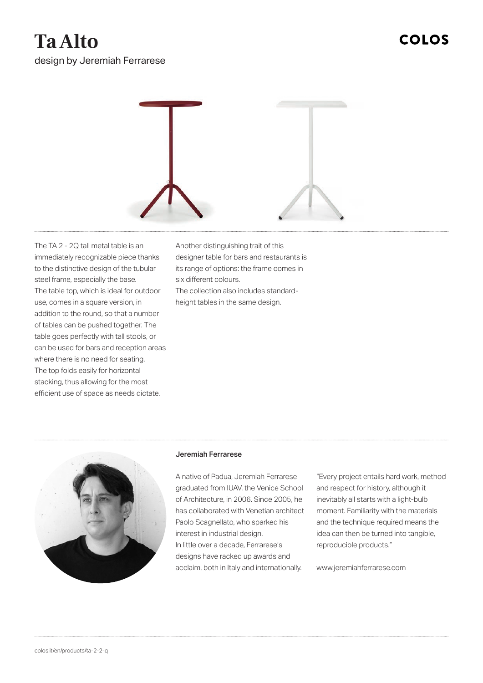

The TA 2 - 2Q tall metal table is an immediately recognizable piece thanks to the distinctive design of the tubular steel frame, especially the base. The table top, which is ideal for outdoor use, comes in a square version, in addition to the round, so that a number of tables can be pushed together. The table goes perfectly with tall stools, or can be used for bars and reception areas where there is no need for seating. The top folds easily for horizontal stacking, thus allowing for the most efficient use of space as needs dictate.

Another distinguishing trait of this designer table for bars and restaurants is its range of options: the frame comes in six different colours.

The collection also includes standardheight tables in the same design.



## Jeremiah Ferrarese

A native of Padua, Jeremiah Ferrarese graduated from IUAV, the Venice School of Architecture, in 2006. Since 2005, he has collaborated with Venetian architect Paolo Scagnellato, who sparked his interest in industrial design. In little over a decade, Ferrarese's designs have racked up awards and acclaim, both in Italy and internationally.

"Every project entails hard work, method and respect for history, although it inevitably all starts with a light-bulb moment. Familiarity with the materials and the technique required means the idea can then be turned into tangible, reproducible products."

www.jeremiahferrarese.com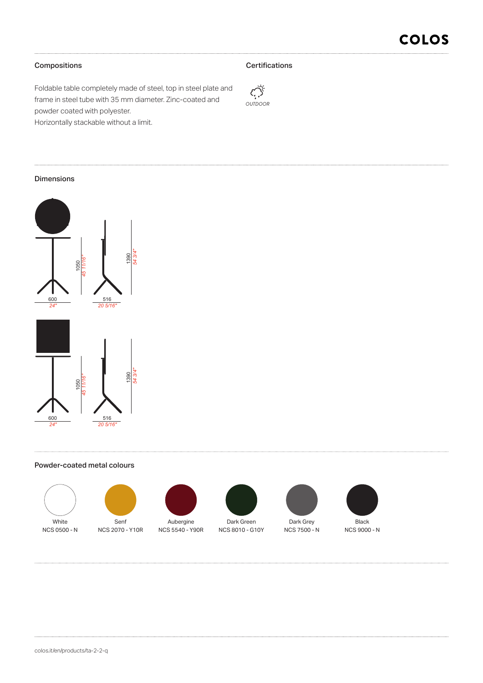# Compositions

## **Certifications**



Foldable table completely made of steel, top in steel plate and frame in steel tube with 35 mm diameter. Zinc-coated and powder coated with polyester. Horizontally stackable without a limit.

## Dimensions



### Powder-coated metal colours